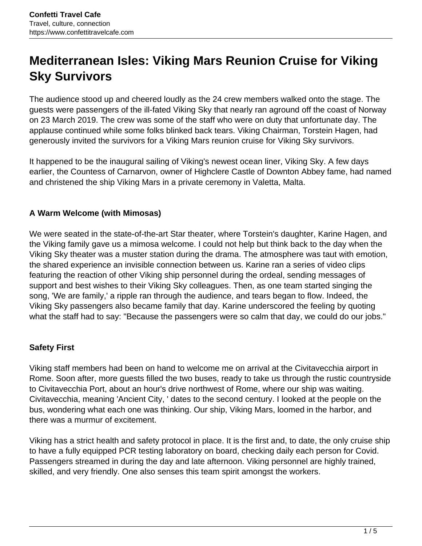# **Mediterranean Isles: Viking Mars Reunion Cruise for Viking Sky Survivors**

The audience stood up and cheered loudly as the 24 crew members walked onto the stage. The guests were passengers of the ill-fated Viking Sky that nearly ran aground off the coast of Norway on 23 March 2019. The crew was some of the staff who were on duty that unfortunate day. The applause continued while some folks blinked back tears. Viking Chairman, Torstein Hagen, had generously invited the survivors for a Viking Mars reunion cruise for Viking Sky survivors.

It happened to be the inaugural sailing of Viking's newest ocean liner, Viking Sky. A few days earlier, the Countess of Carnarvon, owner of Highclere Castle of Downton Abbey fame, had named and christened the ship Viking Mars in a private ceremony in Valetta, Malta.

## **A Warm Welcome (with Mimosas)**

We were seated in the state-of-the-art Star theater, where Torstein's daughter, Karine Hagen, and the Viking family gave us a mimosa welcome. I could not help but think back to the day when the Viking Sky theater was a muster station during the drama. The atmosphere was taut with emotion, the shared experience an invisible connection between us. Karine ran a series of video clips featuring the reaction of other Viking ship personnel during the ordeal, sending messages of support and best wishes to their Viking Sky colleagues. Then, as one team started singing the song, 'We are family,' a ripple ran through the audience, and tears began to flow. Indeed, the Viking Sky passengers also became family that day. Karine underscored the feeling by quoting what the staff had to say: "Because the passengers were so calm that day, we could do our jobs."

## **Safety First**

Viking staff members had been on hand to welcome me on arrival at the Civitavecchia airport in Rome. Soon after, more guests filled the two buses, ready to take us through the rustic countryside to Civitavecchia Port, about an hour's drive northwest of Rome, where our ship was waiting. Civitavecchia, meaning 'Ancient City, ' dates to the second century. I looked at the people on the bus, wondering what each one was thinking. Our ship, Viking Mars, loomed in the harbor, and there was a murmur of excitement.

Viking has a strict health and safety protocol in place. It is the first and, to date, the only cruise ship to have a fully equipped PCR testing laboratory on board, checking daily each person for Covid. Passengers streamed in during the day and late afternoon. Viking personnel are highly trained, skilled, and very friendly. One also senses this team spirit amongst the workers.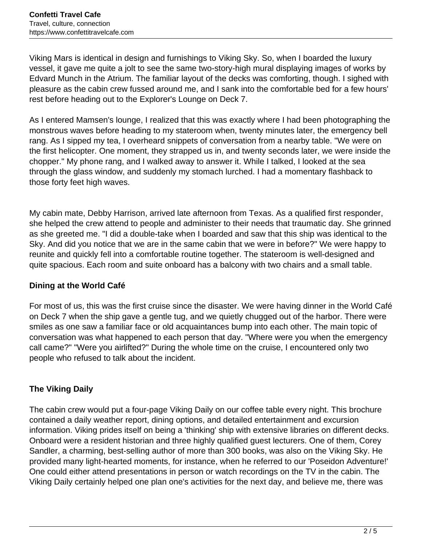Viking Mars is identical in design and furnishings to Viking Sky. So, when I boarded the luxury vessel, it gave me quite a jolt to see the same two-story-high mural displaying images of works by Edvard Munch in the Atrium. The familiar layout of the decks was comforting, though. I sighed with pleasure as the cabin crew fussed around me, and I sank into the comfortable bed for a few hours' rest before heading out to the Explorer's Lounge on Deck 7.

As I entered Mamsen's lounge, I realized that this was exactly where I had been photographing the monstrous waves before heading to my stateroom when, twenty minutes later, the emergency bell rang. As I sipped my tea, I overheard snippets of conversation from a nearby table. "We were on the first helicopter. One moment, they strapped us in, and twenty seconds later, we were inside the chopper." My phone rang, and I walked away to answer it. While I talked, I looked at the sea through the glass window, and suddenly my stomach lurched. I had a momentary flashback to those forty feet high waves.

My cabin mate, Debby Harrison, arrived late afternoon from Texas. As a qualified first responder, she helped the crew attend to people and administer to their needs that traumatic day. She grinned as she greeted me. "I did a double-take when I boarded and saw that this ship was identical to the Sky. And did you notice that we are in the same cabin that we were in before?" We were happy to reunite and quickly fell into a comfortable routine together. The stateroom is well-designed and quite spacious. Each room and suite onboard has a balcony with two chairs and a small table.

# **Dining at the World Café**

For most of us, this was the first cruise since the disaster. We were having dinner in the World Café on Deck 7 when the ship gave a gentle tug, and we quietly chugged out of the harbor. There were smiles as one saw a familiar face or old acquaintances bump into each other. The main topic of conversation was what happened to each person that day. "Where were you when the emergency call came?" "Were you airlifted?" During the whole time on the cruise, I encountered only two people who refused to talk about the incident.

## **The Viking Daily**

The cabin crew would put a four-page Viking Daily on our coffee table every night. This brochure contained a daily weather report, dining options, and detailed entertainment and excursion information. Viking prides itself on being a 'thinking' ship with extensive libraries on different decks. Onboard were a resident historian and three highly qualified guest lecturers. One of them, Corey Sandler, a charming, best-selling author of more than 300 books, was also on the Viking Sky. He provided many light-hearted moments, for instance, when he referred to our 'Poseidon Adventure!' One could either attend presentations in person or watch recordings on the TV in the cabin. The Viking Daily certainly helped one plan one's activities for the next day, and believe me, there was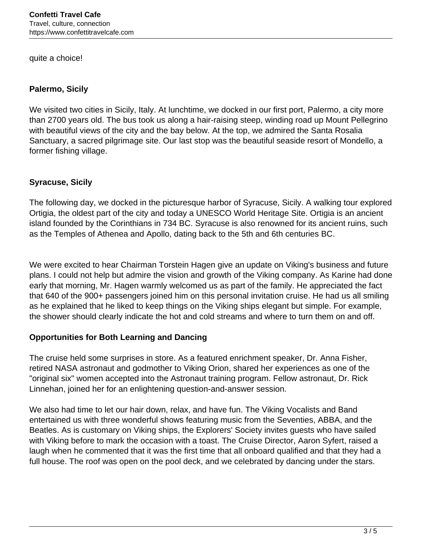quite a choice!

#### **Palermo, Sicily**

We visited two cities in Sicily, Italy. At lunchtime, we docked in our first port, Palermo, a city more than 2700 years old. The bus took us along a hair-raising steep, winding road up Mount Pellegrino with beautiful views of the city and the bay below. At the top, we admired the Santa Rosalia Sanctuary, a sacred pilgrimage site. Our last stop was the beautiful seaside resort of Mondello, a former fishing village.

## **Syracuse, Sicily**

The following day, we docked in the picturesque harbor of Syracuse, Sicily. A walking tour explored Ortigia, the oldest part of the city and today a UNESCO World Heritage Site. Ortigia is an ancient island founded by the Corinthians in 734 BC. Syracuse is also renowned for its ancient ruins, such as the Temples of Athenea and Apollo, dating back to the 5th and 6th centuries BC.

We were excited to hear Chairman Torstein Hagen give an update on Viking's business and future plans. I could not help but admire the vision and growth of the Viking company. As Karine had done early that morning, Mr. Hagen warmly welcomed us as part of the family. He appreciated the fact that 640 of the 900+ passengers joined him on this personal invitation cruise. He had us all smiling as he explained that he liked to keep things on the Viking ships elegant but simple. For example, the shower should clearly indicate the hot and cold streams and where to turn them on and off.

## **Opportunities for Both Learning and Dancing**

The cruise held some surprises in store. As a featured enrichment speaker, Dr. Anna Fisher, retired NASA astronaut and godmother to Viking Orion, shared her experiences as one of the "original six" women accepted into the Astronaut training program. Fellow astronaut, Dr. Rick Linnehan, joined her for an enlightening question-and-answer session.

We also had time to let our hair down, relax, and have fun. The Viking Vocalists and Band entertained us with three wonderful shows featuring music from the Seventies, ABBA, and the Beatles. As is customary on Viking ships, the Explorers' Society invites guests who have sailed with Viking before to mark the occasion with a toast. The Cruise Director, Aaron Syfert, raised a laugh when he commented that it was the first time that all onboard qualified and that they had a full house. The roof was open on the pool deck, and we celebrated by dancing under the stars.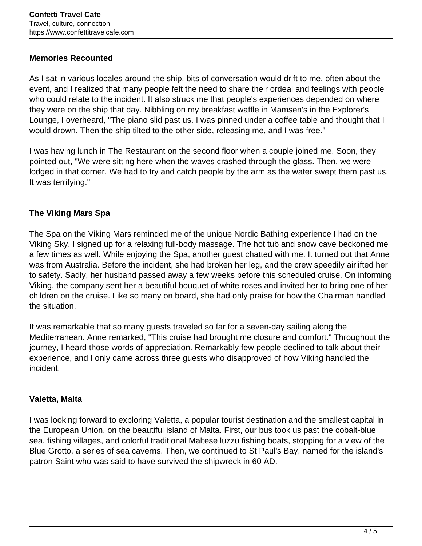#### **Memories Recounted**

As I sat in various locales around the ship, bits of conversation would drift to me, often about the event, and I realized that many people felt the need to share their ordeal and feelings with people who could relate to the incident. It also struck me that people's experiences depended on where they were on the ship that day. Nibbling on my breakfast waffle in Mamsen's in the Explorer's Lounge, I overheard, "The piano slid past us. I was pinned under a coffee table and thought that I would drown. Then the ship tilted to the other side, releasing me, and I was free."

I was having lunch in The Restaurant on the second floor when a couple joined me. Soon, they pointed out, "We were sitting here when the waves crashed through the glass. Then, we were lodged in that corner. We had to try and catch people by the arm as the water swept them past us. It was terrifying."

## **The Viking Mars Spa**

The Spa on the Viking Mars reminded me of the unique Nordic Bathing experience I had on the Viking Sky. I signed up for a relaxing full-body massage. The hot tub and snow cave beckoned me a few times as well. While enjoying the Spa, another guest chatted with me. It turned out that Anne was from Australia. Before the incident, she had broken her leg, and the crew speedily airlifted her to safety. Sadly, her husband passed away a few weeks before this scheduled cruise. On informing Viking, the company sent her a beautiful bouquet of white roses and invited her to bring one of her children on the cruise. Like so many on board, she had only praise for how the Chairman handled the situation.

It was remarkable that so many guests traveled so far for a seven-day sailing along the Mediterranean. Anne remarked, "This cruise had brought me closure and comfort." Throughout the journey, I heard those words of appreciation. Remarkably few people declined to talk about their experience, and I only came across three guests who disapproved of how Viking handled the incident.

#### **Valetta, Malta**

I was looking forward to exploring Valetta, a popular tourist destination and the smallest capital in the European Union, on the beautiful island of Malta. First, our bus took us past the cobalt-blue sea, fishing villages, and colorful traditional Maltese luzzu fishing boats, stopping for a view of the Blue Grotto, a series of sea caverns. Then, we continued to St Paul's Bay, named for the island's patron Saint who was said to have survived the shipwreck in 60 AD.